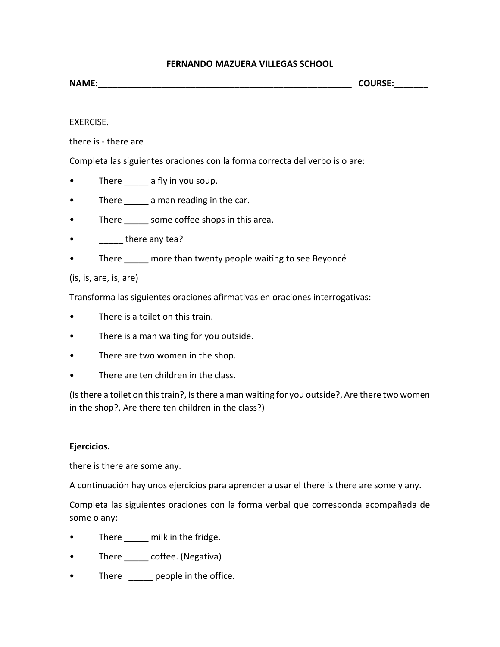## **FERNANDO MAZUERA VILLEGAS SCHOOL**

| <b>NAME:</b> | <b>COURSE</b>   |
|--------------|-----------------|
|              | . סכחי.<br>____ |

## EXERCISE.

there is - there are

Completa las siguientes oraciones con la forma correcta del verbo is o are:

- There a fly in you soup.
- There \_\_\_\_\_\_ a man reading in the car.
- There \_\_\_\_\_\_ some coffee shops in this area.
- there any tea?
- There more than twenty people waiting to see Beyoncé

## (is, is, are, is, are)

Transforma las siguientes oraciones afirmativas en oraciones interrogativas:

- There is a toilet on this train.
- There is a man waiting for you outside.
- There are two women in the shop.
- There are ten children in the class.

(Is there a toilet on this train?, Is there a man waiting for you outside?, Are there two women in the shop?, Are there ten children in the class?)

## **Ejercicios.**

there is there are some any.

A continuación hay unos ejercicios para aprender a usar el there is there are some y any.

Completa las siguientes oraciones con la forma verbal que corresponda acompañada de some o any:

- There \_\_\_\_\_ milk in the fridge.
- There \_\_\_\_\_ coffee. (Negativa)
- There \_\_\_\_\_ people in the office.